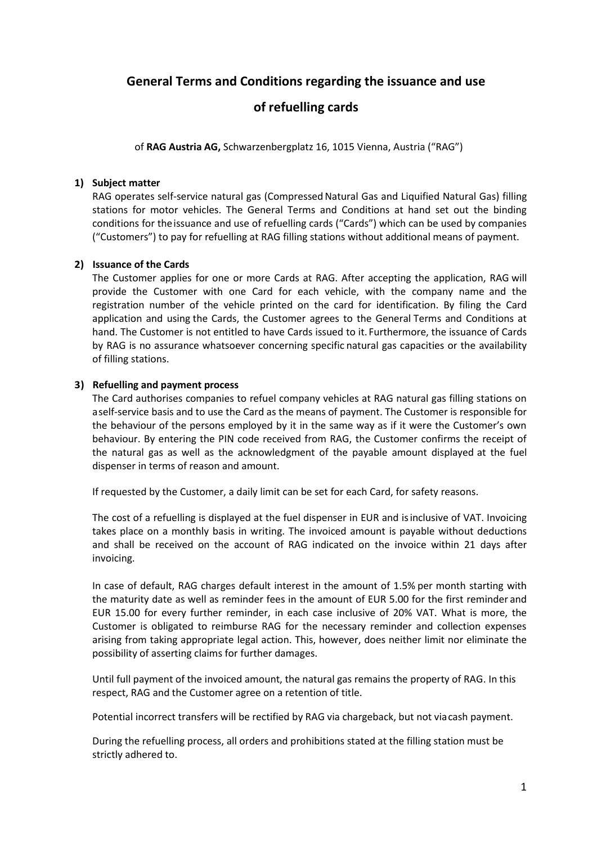# **General Terms and Conditions regarding the issuance and use**

# **of refuelling cards**

of **RAG Austria AG,** Schwarzenbergplatz 16, 1015 Vienna, Austria ("RAG")

### **1) Subject matter**

RAG operates self-service natural gas (Compressed Natural Gas and Liquified Natural Gas) filling stations for motor vehicles. The General Terms and Conditions at hand set out the binding conditions for theissuance and use of refuelling cards ("Cards") which can be used by companies ("Customers") to pay for refuelling at RAG filling stations without additional means of payment.

## **2) Issuance of the Cards**

The Customer applies for one or more Cards at RAG. After accepting the application, RAG will provide the Customer with one Card for each vehicle, with the company name and the registration number of the vehicle printed on the card for identification. By filing the Card application and using the Cards, the Customer agrees to the General Terms and Conditions at hand. The Customer is not entitled to have Cards issued to it. Furthermore, the issuance of Cards by RAG is no assurance whatsoever concerning specific natural gas capacities or the availability of filling stations.

### **3) Refuelling and payment process**

The Card authorises companies to refuel company vehicles at RAG natural gas filling stations on aself-service basis and to use the Card as the means of payment. The Customer is responsible for the behaviour of the persons employed by it in the same way as if it were the Customer's own behaviour. By entering the PIN code received from RAG, the Customer confirms the receipt of the natural gas as well as the acknowledgment of the payable amount displayed at the fuel dispenser in terms of reason and amount.

If requested by the Customer, a daily limit can be set for each Card, for safety reasons.

The cost of a refuelling is displayed at the fuel dispenser in EUR and isinclusive of VAT. Invoicing takes place on a monthly basis in writing. The invoiced amount is payable without deductions and shall be received on the account of RAG indicated on the invoice within 21 days after invoicing.

In case of default, RAG charges default interest in the amount of 1.5% per month starting with the maturity date as well as reminder fees in the amount of EUR 5.00 for the first reminder and EUR 15.00 for every further reminder, in each case inclusive of 20% VAT. What is more, the Customer is obligated to reimburse RAG for the necessary reminder and collection expenses arising from taking appropriate legal action. This, however, does neither limit nor eliminate the possibility of asserting claims for further damages.

Until full payment of the invoiced amount, the natural gas remains the property of RAG. In this respect, RAG and the Customer agree on a retention of title.

Potential incorrect transfers will be rectified by RAG via chargeback, but not viacash payment.

During the refuelling process, all orders and prohibitions stated at the filling station must be strictly adhered to.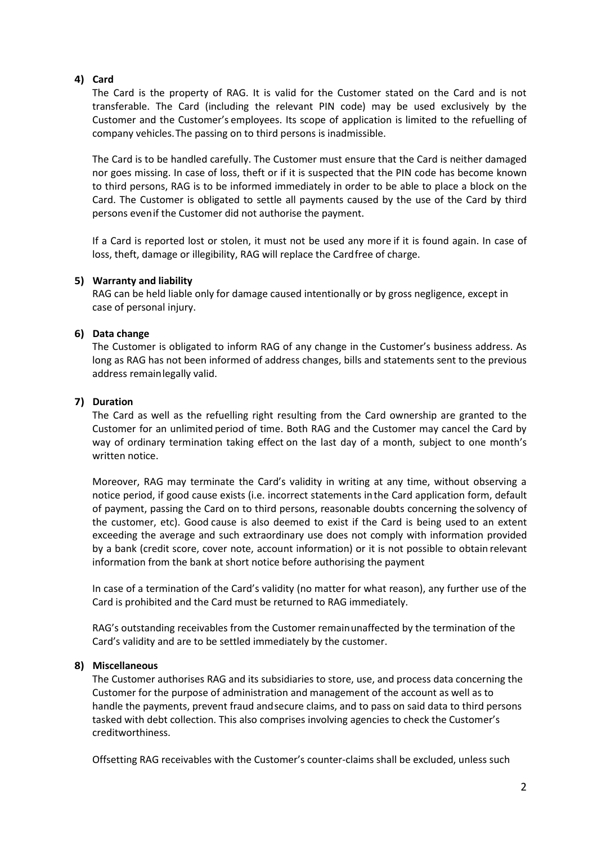### **4) Card**

The Card is the property of RAG. It is valid for the Customer stated on the Card and is not transferable. The Card (including the relevant PIN code) may be used exclusively by the Customer and the Customer's employees. Its scope of application is limited to the refuelling of company vehicles.The passing on to third persons is inadmissible.

The Card is to be handled carefully. The Customer must ensure that the Card is neither damaged nor goes missing. In case of loss, theft or if it is suspected that the PIN code has become known to third persons, RAG is to be informed immediately in order to be able to place a block on the Card. The Customer is obligated to settle all payments caused by the use of the Card by third persons evenif the Customer did not authorise the payment.

If a Card is reported lost or stolen, it must not be used any more if it is found again. In case of loss, theft, damage or illegibility, RAG will replace the Cardfree of charge.

#### **5) Warranty and liability**

RAG can be held liable only for damage caused intentionally or by gross negligence, except in case of personal injury.

#### **6) Data change**

The Customer is obligated to inform RAG of any change in the Customer's business address. As long as RAG has not been informed of address changes, bills and statements sent to the previous address remainlegally valid.

#### **7) Duration**

The Card as well as the refuelling right resulting from the Card ownership are granted to the Customer for an unlimited period of time. Both RAG and the Customer may cancel the Card by way of ordinary termination taking effect on the last day of a month, subject to one month's written notice.

Moreover, RAG may terminate the Card's validity in writing at any time, without observing a notice period, if good cause exists (i.e. incorrect statements inthe Card application form, default of payment, passing the Card on to third persons, reasonable doubts concerning the solvency of the customer, etc). Good cause is also deemed to exist if the Card is being used to an extent exceeding the average and such extraordinary use does not comply with information provided by a bank (credit score, cover note, account information) or it is not possible to obtain relevant information from the bank at short notice before authorising the payment.

In case of a termination of the Card's validity (no matter for what reason), any further use of the Card is prohibited and the Card must be returned to RAG immediately.

RAG's outstanding receivables from the Customer remainunaffected by the termination of the Card's validity and are to be settled immediately by the customer.

#### **8) Miscellaneous**

The Customer authorises RAG and its subsidiaries to store, use, and process data concerning the Customer for the purpose of administration and management of the account as well as to handle the payments, prevent fraud andsecure claims, and to pass on said data to third persons tasked with debt collection. This also comprises involving agencies to check the Customer's creditworthiness.

Offsetting RAG receivables with the Customer's counter-claims shall be excluded, unless such